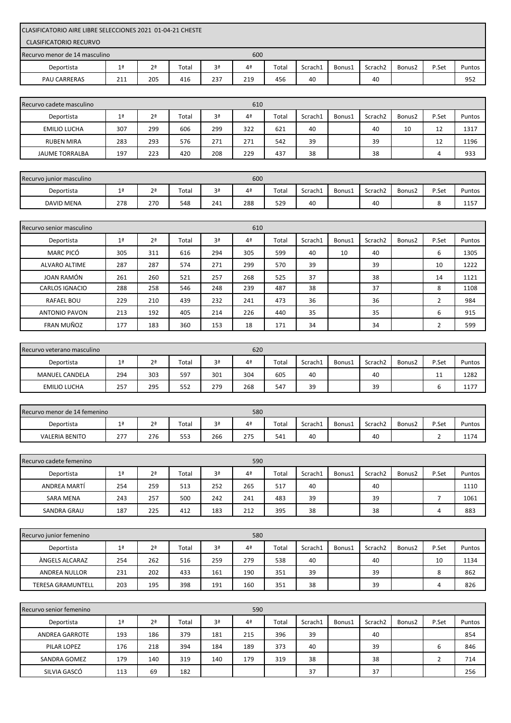| CLASIFICATORIO AIRE LIBRE SELECCIONES 2021 01-04-21 CHESTE |     |                |       |     |     |       |         |        |                     |        |       |        |
|------------------------------------------------------------|-----|----------------|-------|-----|-----|-------|---------|--------|---------------------|--------|-------|--------|
| <b>CLASIFICATORIO RECURVO</b>                              |     |                |       |     |     |       |         |        |                     |        |       |        |
| Recurvo menor de 14 masculino                              |     |                |       |     | 600 |       |         |        |                     |        |       |        |
| Deportista                                                 | 1ª  | 2 <sup>a</sup> | Total | 3ª  | 4ª  | Total | Scrach1 | Bonus1 | Scrach <sub>2</sub> | Bonus2 | P.Set | Puntos |
| <b>PAU CARRERAS</b>                                        | 211 | 205            | 416   | 237 | 219 | 456   | 40      |        | 40                  |        |       | 952    |

| Recurvo cadete masculino |                |                |       |     | 610            |       |         |        |                     |        |                      |        |
|--------------------------|----------------|----------------|-------|-----|----------------|-------|---------|--------|---------------------|--------|----------------------|--------|
| Deportista               | 1 <sup>a</sup> | 2 <sup>a</sup> | Total | 3ª  | 4 <sup>a</sup> | Total | Scrach1 | Bonus1 | Scrach <sub>2</sub> | Bonus2 | P.Set                | Puntos |
| <b>EMILIO LUCHA</b>      | 307            | 299            | 606   | 299 | 322            | 621   | 40      |        | 40                  | 10     | 1 <sub>2</sub><br>⊥∠ | 1317   |
| <b>RUBEN MIRA</b>        | 283            | 293            | 576   | 271 | 271            | 542   | 39      |        | 39                  |        | $\sim$<br>ᅩ          | 1196   |
| <b>JAUME TORRALBA</b>    | 197            | 223            | 420   | 208 | 229            | 437   | 38      |        | 38                  |        | 4                    | 933    |

| Recurvo junior masculino |     |     |       |     | 600 |       |         |        |                     |        |                   |        |
|--------------------------|-----|-----|-------|-----|-----|-------|---------|--------|---------------------|--------|-------------------|--------|
| Deportista               | 1ª  | 2ª  | Total | Зª  | Δª  | Total | Scrach1 | Bonus1 | Scrach <sub>2</sub> | Bonus2 | <sup>p</sup> .Set | Puntos |
| DAVID MENA               | 278 | 270 | 548   | 241 | 288 | 529   | 40      |        | 40                  |        |                   | 1157   |

| Recurvo senior masculino |                |                |       |                | 610            |       |         |        |                     |        |       |        |
|--------------------------|----------------|----------------|-------|----------------|----------------|-------|---------|--------|---------------------|--------|-------|--------|
| Deportista               | 1 <sup>a</sup> | 2 <sup>a</sup> | Total | 3 <sup>a</sup> | 4 <sup>a</sup> | Total | Scrach1 | Bonus1 | Scrach <sub>2</sub> | Bonus2 | P.Set | Puntos |
| <b>MARC PICÓ</b>         | 305            | 311            | 616   | 294            | 305            | 599   | 40      | 10     | 40                  |        | 6     | 1305   |
| <b>ALVARO ALTIME</b>     | 287            | 287            | 574   | 271            | 299            | 570   | 39      |        | 39                  |        | 10    | 1222   |
| JOAN RAMÓN               | 261            | 260            | 521   | 257            | 268            | 525   | 37      |        | 38                  |        | 14    | 1121   |
| <b>CARLOS IGNACIO</b>    | 288            | 258            | 546   | 248            | 239            | 487   | 38      |        | 37                  |        | 8     | 1108   |
| <b>RAFAEL BOU</b>        | 229            | 210            | 439   | 232            | 241            | 473   | 36      |        | 36                  |        |       | 984    |
| <b>ANTONIO PAVON</b>     | 213            | 192            | 405   | 214            | 226            | 440   | 35      |        | 35                  |        | 6     | 915    |
| FRAN MUÑOZ               | 177            | 183            | 360   | 153            | 18             | 171   | 34      |        | 34                  |        |       | 599    |

| Recurvo veterano masculino |                |                |       |     | 620            |       |         |        |                     |        |         |        |
|----------------------------|----------------|----------------|-------|-----|----------------|-------|---------|--------|---------------------|--------|---------|--------|
| Deportista                 | 1 <sup>a</sup> | 2 <sup>a</sup> | Total | Зª  | 4 <sup>a</sup> | Total | Scrach1 | Bonus1 | Scrach <sub>2</sub> | Bonus2 | P.Set   | Puntos |
| <b>MANUEL CANDELA</b>      | 294            | 303            | 597   | 301 | 304            | 605   | 40      |        | 40                  |        | 11<br>ᆠ | 1282   |
| <b>EMILIO LUCHA</b>        | 257            | 295            | 552   | 279 | 268            | 547   | 39      |        | 39                  |        | h       | 1177   |

| Recurvo menor de 14 femenino |                |                |       |     | 580 |       |         |        |                     |        |       |        |
|------------------------------|----------------|----------------|-------|-----|-----|-------|---------|--------|---------------------|--------|-------|--------|
| Deportista                   | 1 <sup>a</sup> | 2 <sup>a</sup> | Tota. | 3ª  | ⊿ª  | Total | Scrach1 | Bonus1 | Scrach <sub>2</sub> | Bonus2 | P.Set | Puntos |
| <b>VALERIA BENITO</b>        | 277            | 276            | 553   | 266 | 275 | 541   | 40      |        | 40                  |        |       | 1174   |

| Recurvo cadete femenino |                |                |       |     | 590 |       |         |        |                     |                    |       |        |
|-------------------------|----------------|----------------|-------|-----|-----|-------|---------|--------|---------------------|--------------------|-------|--------|
| Deportista              | 1 <sup>a</sup> | 2 <sup>a</sup> | Total | 3ª  | 4ª  | Total | Scrach1 | Bonus1 | Scrach <sub>2</sub> | Bonus <sub>2</sub> | P.Set | Puntos |
| ANDREA MARTÍ            | 254            | 259            | 513   | 252 | 265 | 517   | 40      |        | 40                  |                    |       | 1110   |
| <b>SARA MENA</b>        | 243            | 257            | 500   | 242 | 241 | 483   | 39      |        | 39                  |                    |       | 1061   |
| <b>SANDRA GRAU</b>      | 187            | 225            | 412   | 183 | 212 | 395   | 38      |        | 38                  |                    |       | 883    |

| Recurvo junior femenino  |                |     |       |     | 580 |       |         |        |                     |        |       |        |
|--------------------------|----------------|-----|-------|-----|-----|-------|---------|--------|---------------------|--------|-------|--------|
| Deportista               | 1 <sup>a</sup> | 2ª  | Total | 3ª  | 4ª  | Total | Scrach1 | Bonus1 | Scrach <sub>2</sub> | Bonus2 | P.Set | Puntos |
| ÀNGELS ALCARAZ           | 254            | 262 | 516   | 259 | 279 | 538   | 40      |        | 40                  |        | 10    | 1134   |
| ANDREA NULLOR            | 231            | 202 | 433   | 161 | 190 | 351   | 39      |        | 39                  |        | 8     | 862    |
| <b>TERESA GRAMUNTELL</b> | 203            | 195 | 398   | 191 | 160 | 351   | 38      |        | 39                  |        |       | 826    |

| Recurvo senior femenino |                |                |       |     | 590 |       |         |        |                     |        |       |        |
|-------------------------|----------------|----------------|-------|-----|-----|-------|---------|--------|---------------------|--------|-------|--------|
| Deportista              | 1 <sup>a</sup> | 2 <sup>a</sup> | Total | 3ª  | 4ª  | Total | Scrach1 | Bonus1 | Scrach <sub>2</sub> | Bonus2 | P.Set | Puntos |
| ANDREA GARROTE          | 193            | 186            | 379   | 181 | 215 | 396   | 39      |        | 40                  |        |       | 854    |
| PILAR LOPEZ             | 176            | 218            | 394   | 184 | 189 | 373   | 40      |        | 39                  |        | ь     | 846    |
| SANDRA GOMEZ            | 179            | 140            | 319   | 140 | 179 | 319   | 38      |        | 38                  |        |       | 714    |
| SILVIA GASCÓ            | 113            | 69             | 182   |     |     |       | 37      |        | 37                  |        |       | 256    |